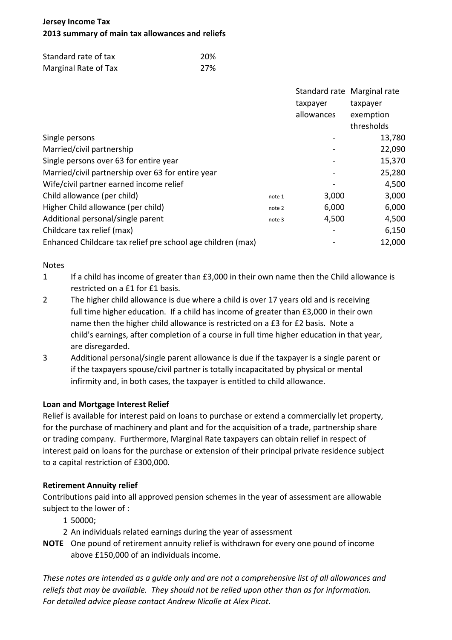# **Jersey Income Tax 2013 summary of main tax allowances and reliefs**

| Standard rate of tax | 20% |
|----------------------|-----|
| Marginal Rate of Tax | 27% |

|                                                             |        |            | Standard rate Marginal rate |
|-------------------------------------------------------------|--------|------------|-----------------------------|
|                                                             |        | taxpayer   | taxpayer                    |
|                                                             |        | allowances | exemption                   |
|                                                             |        |            | thresholds                  |
| Single persons                                              |        |            | 13,780                      |
| Married/civil partnership                                   |        |            | 22,090                      |
| Single persons over 63 for entire year                      |        |            | 15,370                      |
| Married/civil partnership over 63 for entire year           |        |            | 25,280                      |
| Wife/civil partner earned income relief                     |        |            | 4,500                       |
| Child allowance (per child)                                 | note 1 | 3,000      | 3,000                       |
| Higher Child allowance (per child)                          | note 2 | 6,000      | 6,000                       |
| Additional personal/single parent                           | note 3 | 4,500      | 4,500                       |
| Childcare tax relief (max)                                  |        |            | 6,150                       |
| Enhanced Childcare tax relief pre school age children (max) |        |            | 12,000                      |

## **Notes**

- 1 If a child has income of greater than £3,000 in their own name then the Child allowance is restricted on a £1 for £1 basis.
- 2 The higher child allowance is due where a child is over 17 years old and is receiving full time higher education. If a child has income of greater than £3,000 in their own name then the higher child allowance is restricted on a £3 for £2 basis. Note a child's earnings, after completion of a course in full time higher education in that year, are disregarded.
- 3 Additional personal/single parent allowance is due if the taxpayer is a single parent or if the taxpayers spouse/civil partner is totally incapacitated by physical or mental infirmity and, in both cases, the taxpayer is entitled to child allowance.

## **Loan and Mortgage Interest Relief**

Relief is available for interest paid on loans to purchase or extend a commercially let property, for the purchase of machinery and plant and for the acquisition of a trade, partnership share or trading company. Furthermore, Marginal Rate taxpayers can obtain relief in respect of interest paid on loans for the purchase or extension of their principal private residence subject to a capital restriction of £300,000.

## **Retirement Annuity relief**

Contributions paid into all approved pension schemes in the year of assessment are allowable subject to the lower of :

- 1 50000;
- 2 An individuals related earnings during the year of assessment
- **NOTE** One pound of retirement annuity relief is withdrawn for every one pound of income above £150,000 of an individuals income.

*These notes are intended as a guide only and are not a comprehensive list of all allowances and reliefs that may be available. They should not be relied upon other than as for information. For detailed advice please contact Andrew Nicolle at Alex Picot.*